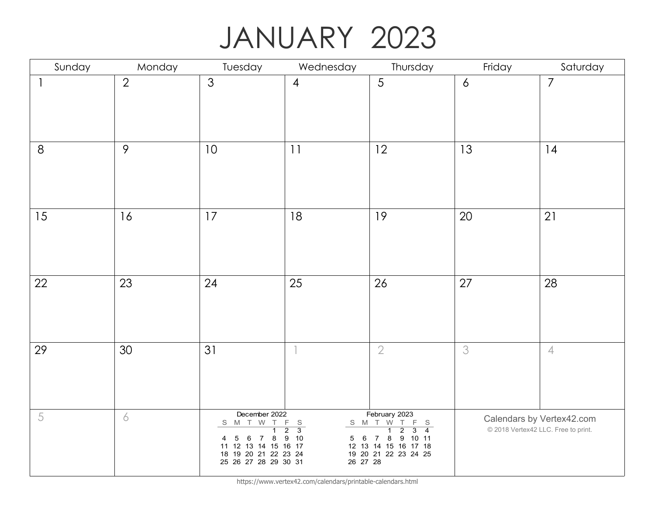## JANUARY 2023

| Sunday     | Monday         | Tuesday                                                                                                                                                  | Wednesday                                                                          | Thursday                                                                                                                                                                                       | Friday         | Saturday                                                         |
|------------|----------------|----------------------------------------------------------------------------------------------------------------------------------------------------------|------------------------------------------------------------------------------------|------------------------------------------------------------------------------------------------------------------------------------------------------------------------------------------------|----------------|------------------------------------------------------------------|
|            | $\overline{2}$ | 3                                                                                                                                                        | $\overline{4}$                                                                     | 5                                                                                                                                                                                              | $\overline{6}$ | $\overline{7}$                                                   |
| $8\,$      | 9              | 10                                                                                                                                                       | 11                                                                                 | 12                                                                                                                                                                                             | 13             | 14                                                               |
| 15         | 16             | 17                                                                                                                                                       | 18                                                                                 | 19                                                                                                                                                                                             | 20             | 21                                                               |
| 22         | 23             | 24                                                                                                                                                       | 25                                                                                 | 26                                                                                                                                                                                             | 27             | 28                                                               |
| 29         | 30             | 31                                                                                                                                                       |                                                                                    | $\overline{2}$                                                                                                                                                                                 | 3              | $\overline{4}$                                                   |
| $\sqrt{5}$ | 6              | December 2022<br>S M T W T<br>$\overline{1}$<br>$5\phantom{.0}$<br>8<br>6 7<br>4<br>11 12 13 14 15 16 17<br>18 19 20 21 22 23 24<br>25 26 27 28 29 30 31 | F<br>$\mathbb S$<br>$\overline{3}$<br>$\overline{2}$<br>10<br>9<br>5 6<br>26 27 28 | February 2023<br>S M T W T<br>F S<br>$\overline{4}$<br>$\overline{1}$<br>$\overline{2}$<br>$\overline{3}$<br>9<br>8<br>10 11<br>$\overline{7}$<br>12 13 14 15 16 17 18<br>19 20 21 22 23 24 25 |                | Calendars by Vertex42.com<br>© 2018 Vertex42 LLC. Free to print. |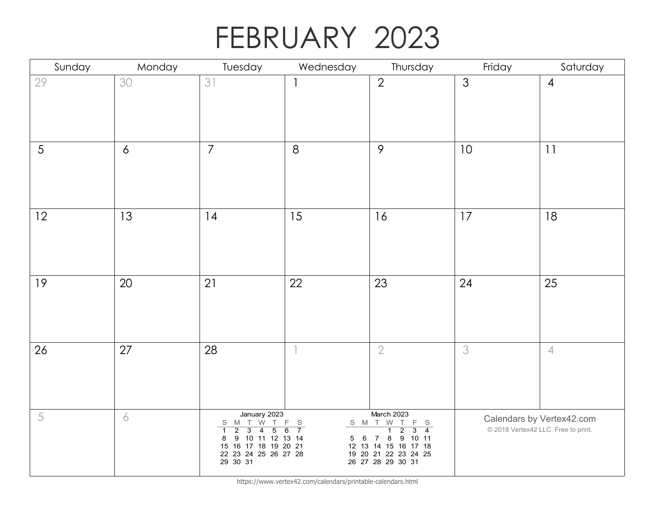## FEBRUARY 2023

| Sunday     | Monday         | Tuesday                                                                                                                                                                                                                       | Wednesday                                       | Thursday                                                                                                                                                                                                                          | Friday         | Saturday                                                         |
|------------|----------------|-------------------------------------------------------------------------------------------------------------------------------------------------------------------------------------------------------------------------------|-------------------------------------------------|-----------------------------------------------------------------------------------------------------------------------------------------------------------------------------------------------------------------------------------|----------------|------------------------------------------------------------------|
| 29         | 30             | 31                                                                                                                                                                                                                            | $\mathbf{1}$                                    | $\overline{2}$                                                                                                                                                                                                                    | $\mathfrak{Z}$ | $\overline{4}$                                                   |
| 5          | $\overline{6}$ | $\overline{7}$                                                                                                                                                                                                                | 8                                               | 9                                                                                                                                                                                                                                 | 10             | 11                                                               |
| 12         | 13             | 14                                                                                                                                                                                                                            | 15                                              | 16                                                                                                                                                                                                                                | 17             | 18                                                               |
| 19         | $20\,$         | 21                                                                                                                                                                                                                            | 22                                              | 23                                                                                                                                                                                                                                | 24             | 25                                                               |
| 26         | 27             | 28                                                                                                                                                                                                                            |                                                 | $\overline{2}$                                                                                                                                                                                                                    | 3              | $\overline{4}$                                                   |
| $\sqrt{5}$ | 6              | January 2023<br>S M T<br>W<br>T.<br>$\overline{2}$<br>$\overline{3}$<br>$\overline{5}$<br>$\overline{4}$<br>$\mathbf{1}$<br>$\overline{9}$<br>10 11 12 13 14<br>8<br>15 16 17 18 19 20 21<br>22 23 24 25 26 27 28<br>29 30 31 | F.<br>$\mathbb S$<br>$\overline{7}$<br>6<br>5 6 | March 2023<br>S M T W<br>$\top$<br>F S<br>$\overline{\mathbf{1}}$<br>$\overline{2}$<br>$\overline{3}$<br>$\overline{4}$<br>8<br>9<br>10 11<br>$\overline{7}$<br>12 13 14 15 16 17 18<br>19 20 21 22 23 24 25<br>26 27 28 29 30 31 |                | Calendars by Vertex42.com<br>© 2018 Vertex42 LLC. Free to print. |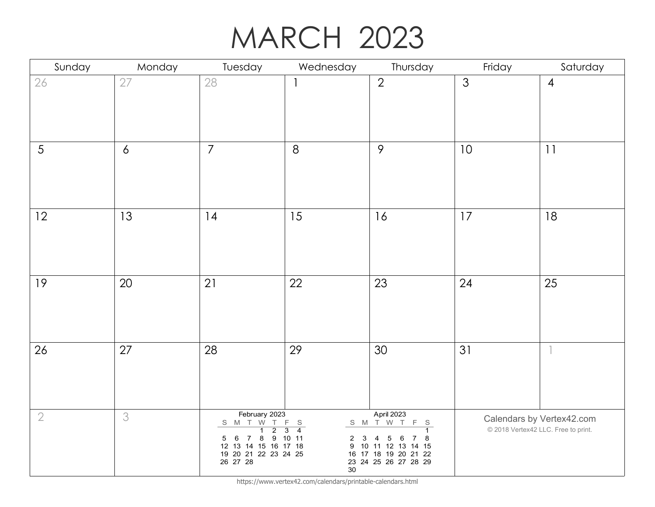# MARCH 2023

| Sunday         | Monday           | Tuesday                                                                                                                                   | Wednesday                                                                                    | Thursday                                                                                                                                       | Friday         | Saturday                                                         |
|----------------|------------------|-------------------------------------------------------------------------------------------------------------------------------------------|----------------------------------------------------------------------------------------------|------------------------------------------------------------------------------------------------------------------------------------------------|----------------|------------------------------------------------------------------|
| 26             | 27               | 28                                                                                                                                        |                                                                                              | $\overline{2}$                                                                                                                                 | $\mathfrak{Z}$ | $\overline{4}$                                                   |
| $\overline{5}$ | $\boldsymbol{6}$ | $\overline{7}$                                                                                                                            | 8                                                                                            | $\mathcal{P}$                                                                                                                                  | 10             | 11                                                               |
| 12             | 13               | 14                                                                                                                                        | 15                                                                                           | 16                                                                                                                                             | 17             | 18                                                               |
| 19             | 20               | 21                                                                                                                                        | 22                                                                                           | 23                                                                                                                                             | 24             | 25                                                               |
| 26             | 27               | 28                                                                                                                                        | 29                                                                                           | 30                                                                                                                                             | 31             |                                                                  |
| $\sqrt{2}$     | 3                | February 2023<br>S M T W T F S<br>$\overline{2}$<br>$\overline{1}$<br>5 6 7 8<br>12 13 14 15 16 17 18<br>19 20 21 22 23 24 25<br>26 27 28 | $\overline{4}$<br>$\overline{3}$<br>9 10 11<br>$\mathbf{3}$<br>$\overline{c}$<br>9<br>$30\,$ | April 2023<br>S M T W T<br>F S<br>$\overline{1}$<br>5<br>8<br>4<br>6<br>7<br>10 11 12 13 14 15<br>16 17 18 19 20 21 22<br>23 24 25 26 27 28 29 |                | Calendars by Vertex42.com<br>© 2018 Vertex42 LLC. Free to print. |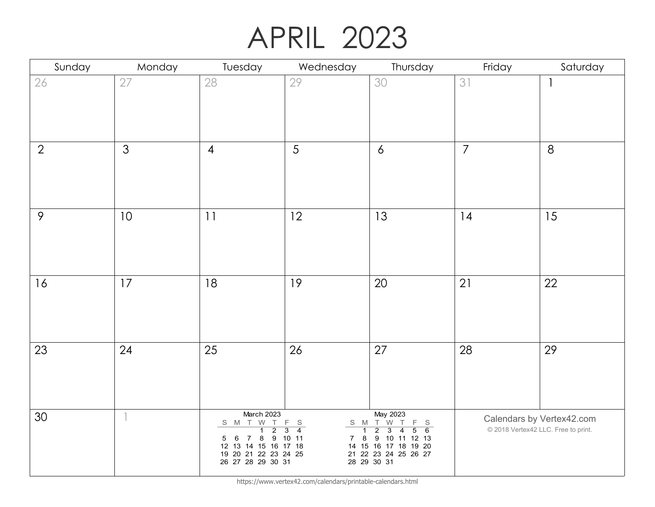## APRIL 2023

| Sunday         | Monday         | Tuesday                                                                                                                                             | Wednesday                                     | Thursday                                                                                                                                                                                                                                         | Friday         | Saturday                                                         |
|----------------|----------------|-----------------------------------------------------------------------------------------------------------------------------------------------------|-----------------------------------------------|--------------------------------------------------------------------------------------------------------------------------------------------------------------------------------------------------------------------------------------------------|----------------|------------------------------------------------------------------|
| $26\,$         | 27             | 28                                                                                                                                                  | 29                                            | 30                                                                                                                                                                                                                                               | 31             |                                                                  |
| $\overline{2}$ | $\mathfrak{Z}$ | $\overline{4}$                                                                                                                                      | 5                                             | $\overline{6}$                                                                                                                                                                                                                                   | $\overline{7}$ | 8                                                                |
| $\mathcal{P}$  | 10             | 11                                                                                                                                                  | 12                                            | 13                                                                                                                                                                                                                                               | 14             | 15                                                               |
| 16             | 17             | 18                                                                                                                                                  | 19                                            | 20                                                                                                                                                                                                                                               | 21             | 22                                                               |
| 23             | 24             | 25                                                                                                                                                  | 26                                            | 27                                                                                                                                                                                                                                               | 28             | 29                                                               |
| 30             |                | March 2023<br>S M T W T<br>$\overline{2}$<br>$\overline{1}$<br>5 6 7 8 9 10 11<br>12 13 14 15 16 17 18<br>19 20 21 22 23 24 25<br>26 27 28 29 30 31 | F S<br>$\overline{4}$<br>$\overline{3}$<br>78 | May 2023<br>$\begin{array}{c cccc}\nS & M & T & W & T \\ \hline\n1 & 2 & 3 & 4\n\end{array}$<br>$\begin{array}{cc} F & S \\ 5 & 6 \end{array}$<br>$\overline{3}$<br>9 10 11 12 13<br>14 15 16 17 18 19 20<br>21 22 23 24 25 26 27<br>28 29 30 31 |                | Calendars by Vertex42.com<br>© 2018 Vertex42 LLC. Free to print. |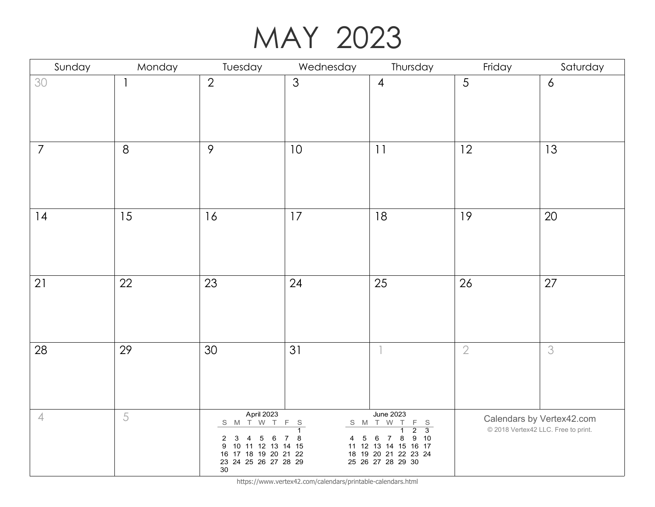#### MAY 2023

| Sunday         | Monday | Tuesday                                                                                                                                               | Wednesday                                      | Thursday                                                                                                                                                                                | Friday     | Saturday                                                         |
|----------------|--------|-------------------------------------------------------------------------------------------------------------------------------------------------------|------------------------------------------------|-----------------------------------------------------------------------------------------------------------------------------------------------------------------------------------------|------------|------------------------------------------------------------------|
| 30             |        | $\overline{2}$                                                                                                                                        | $\mathfrak{S}$                                 | $\overline{4}$                                                                                                                                                                          | 5          | $\overline{6}$                                                   |
| $\overline{7}$ | 8      | $\mathcal{P}$                                                                                                                                         | 10                                             | 11                                                                                                                                                                                      | 12         | 13                                                               |
| 14             | 15     | 16                                                                                                                                                    | 17                                             | 18                                                                                                                                                                                      | 19         | 20                                                               |
| 21             | 22     | 23                                                                                                                                                    | 24                                             | 25                                                                                                                                                                                      | 26         | 27                                                               |
| 28             | 29     | 30                                                                                                                                                    | 31                                             |                                                                                                                                                                                         | $\sqrt{2}$ | 3                                                                |
| $\overline{4}$ | 5      | April 2023<br>S M T W T<br>$\mathbf{3}$<br>$\overline{c}$<br>4<br>5<br>6<br>9 10 11 12 13 14 15<br>16 17 18 19 20 21 22<br>23 24 25 26 27 28 29<br>30 | F S<br>$\overline{1}$<br>$\bf 8$<br>$4\quad 5$ | <b>June 2023</b><br>S M T W T<br>$F S$<br>2 3<br>$\overline{\mathbf{1}}$<br>9 10<br>$\,6\,$<br>8<br>$\overline{7}$<br>11 12 13 14 15 16 17<br>18 19 20 21 22 23 24<br>25 26 27 28 29 30 |            | Calendars by Vertex42.com<br>© 2018 Vertex42 LLC. Free to print. |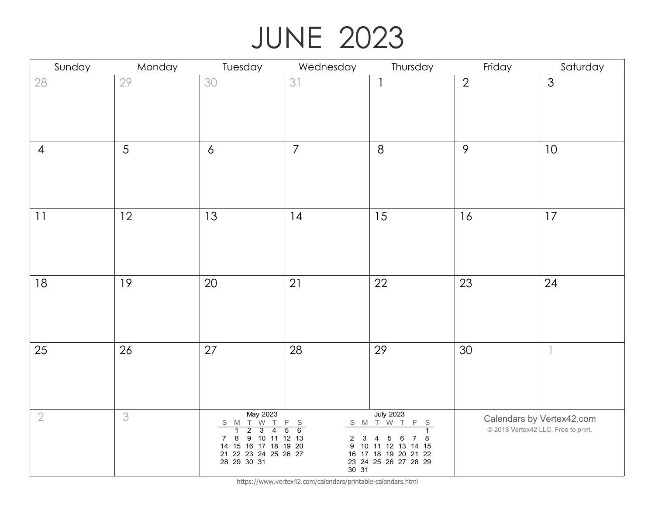# JUNE 2023

| Sunday         | Monday | Tuesday                                                                           | Wednesday                                            | Thursday                                     | Friday         | Saturday                                                         |
|----------------|--------|-----------------------------------------------------------------------------------|------------------------------------------------------|----------------------------------------------|----------------|------------------------------------------------------------------|
| 28             | 29     | 30                                                                                | 31                                                   | $\overline{\phantom{a}}$                     | $\overline{2}$ | 3                                                                |
|                |        |                                                                                   |                                                      |                                              |                |                                                                  |
|                |        |                                                                                   |                                                      |                                              |                |                                                                  |
|                |        |                                                                                   |                                                      |                                              |                |                                                                  |
| $\overline{4}$ | 5      | $\boldsymbol{6}$                                                                  | $\overline{7}$                                       | $\delta$                                     | $\mathcal{P}$  | 10                                                               |
|                |        |                                                                                   |                                                      |                                              |                |                                                                  |
|                |        |                                                                                   |                                                      |                                              |                |                                                                  |
| 11             | 12     | 13                                                                                | 4                                                    | 15                                           | 16             | 17                                                               |
|                |        |                                                                                   |                                                      |                                              |                |                                                                  |
|                |        |                                                                                   |                                                      |                                              |                |                                                                  |
|                |        |                                                                                   |                                                      |                                              |                |                                                                  |
| 18             | 19     | 20                                                                                | 21                                                   | 22                                           | 23             | 24                                                               |
|                |        |                                                                                   |                                                      |                                              |                |                                                                  |
|                |        |                                                                                   |                                                      |                                              |                |                                                                  |
|                |        |                                                                                   |                                                      |                                              |                |                                                                  |
| 25             | 26     | 27                                                                                | 28                                                   | 29                                           | 30             |                                                                  |
|                |        |                                                                                   |                                                      |                                              |                |                                                                  |
|                |        |                                                                                   |                                                      |                                              |                |                                                                  |
|                |        | May 2023                                                                          |                                                      | <b>July 2023</b>                             |                |                                                                  |
| $\sqrt{2}$     | 3      | S M T W T<br>$\overline{1}$<br>$\overline{2}$<br>$\overline{3}$<br>$\overline{4}$ | $\mathsf F$<br>S<br>$\overline{6}$<br>$\overline{5}$ | S M T W T<br>F S<br>$\overline{1}$           |                | Calendars by Vertex42.com<br>© 2018 Vertex42 LLC. Free to print. |
|                |        | $\boldsymbol{8}$<br>9 10 11 12 13<br>$7\overline{ }$<br>14 15 16 17 18 19 20      | $\overline{2}$<br>3                                  | 4<br>5<br>8<br>6<br>7<br>9 10 11 12 13 14 15 |                |                                                                  |
|                |        | 21 22 23 24 25 26 27<br>28 29 30 31                                               |                                                      | 16 17 18 19 20 21 22<br>23 24 25 26 27 28 29 |                |                                                                  |
|                |        |                                                                                   | 30 31                                                |                                              |                |                                                                  |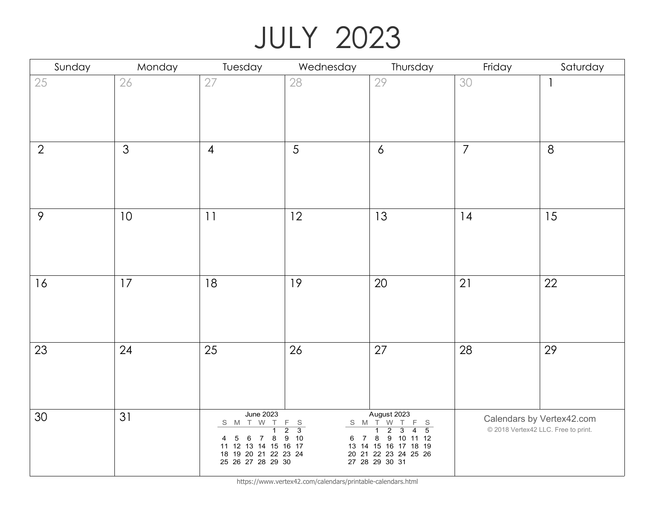# JULY 2023

| Sunday         | Monday         | Tuesday                                                                                                                                                                  | Wednesday                                                           | Thursday                                                                                                                                                                                                                   | Friday         | Saturday                                                         |
|----------------|----------------|--------------------------------------------------------------------------------------------------------------------------------------------------------------------------|---------------------------------------------------------------------|----------------------------------------------------------------------------------------------------------------------------------------------------------------------------------------------------------------------------|----------------|------------------------------------------------------------------|
| $25\,$         | 26             | 27                                                                                                                                                                       | 28                                                                  | 29                                                                                                                                                                                                                         | 30             |                                                                  |
| $\overline{2}$ | $\mathfrak{Z}$ | $\overline{4}$                                                                                                                                                           | 5                                                                   | $\overline{6}$                                                                                                                                                                                                             | $\overline{7}$ | 8                                                                |
| $\mathcal{P}$  | 10             | 11                                                                                                                                                                       | 12                                                                  | 13                                                                                                                                                                                                                         | 4              | 15                                                               |
| 16             | 17             | 18                                                                                                                                                                       | 19                                                                  | 20                                                                                                                                                                                                                         | 21             | 22                                                               |
| 23             | 24             | 25                                                                                                                                                                       | 26                                                                  | 27                                                                                                                                                                                                                         | 28             | 29                                                               |
| 30             | 31             | <b>June 2023</b><br>S M T W T<br>$\overline{1}$<br>$5\phantom{.0}$<br>8<br>6<br>$\overline{7}$<br>4<br>11 12 13 14 15 16 17<br>18 19 20 21 22 23 24<br>25 26 27 28 29 30 | $\mathsf F$<br>S<br>$\overline{3}$<br>$\overline{2}$<br>9 10<br>6 7 | August 2023<br>$\begin{array}{c cccccc} S & M & \overline{1} & W & \overline{1} & F & S \\ \hline & 1 & 2 & 3 & 4 & 5 \\ \end{array}$<br>8<br>9 10 11 12<br>13 14 15 16 17 18 19<br>20 21 22 23 24 25 26<br>27 28 29 30 31 |                | Calendars by Vertex42.com<br>© 2018 Vertex42 LLC. Free to print. |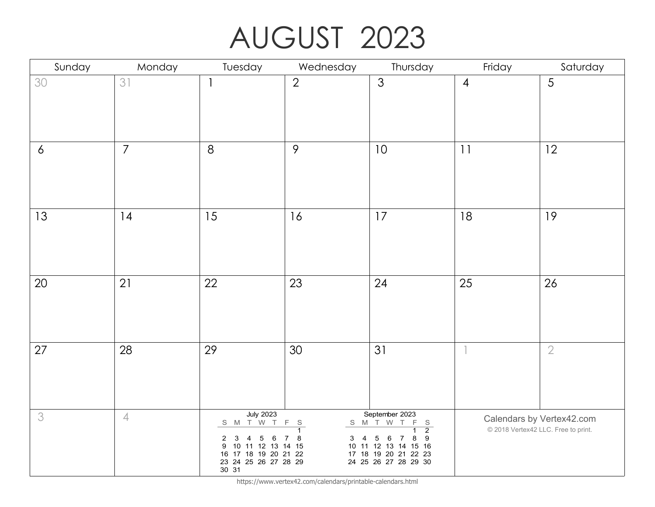# AUGUST 2023

| Sunday         | Monday         | Tuesday                                                                                                                                                        | Wednesday                                 | Thursday                                                                                                                                                                            | Friday         | Saturday                                                         |
|----------------|----------------|----------------------------------------------------------------------------------------------------------------------------------------------------------------|-------------------------------------------|-------------------------------------------------------------------------------------------------------------------------------------------------------------------------------------|----------------|------------------------------------------------------------------|
| 30             | 31             | $\mathbf{1}$                                                                                                                                                   | $\overline{2}$                            | 3                                                                                                                                                                                   | $\overline{4}$ | 5                                                                |
| $\overline{6}$ | $\overline{7}$ | 8                                                                                                                                                              | 9                                         | 10                                                                                                                                                                                  | 11             | 12                                                               |
| 13             | 14             | 15                                                                                                                                                             | 16                                        | 17                                                                                                                                                                                  | 18             | 19                                                               |
| 20             | 21             | 22                                                                                                                                                             | 23                                        | 24                                                                                                                                                                                  | 25             | 26                                                               |
| 27             | 28             | 29                                                                                                                                                             | 30                                        | 31                                                                                                                                                                                  |                | $\sqrt{2}$                                                       |
| 3              | $\overline{4}$ | <b>July 2023</b><br>S M T W T<br>$\mathbf{3}$<br>$\overline{2}$<br>4<br>5<br>6<br>9 10 11 12 13 14 15<br>16 17 18 19 20 21 22<br>23 24 25 26 27 28 29<br>30 31 | F S<br>$\overline{1}$<br>$3 \quad 4$<br>8 | September 2023<br>S M T W T<br>$F_S$<br>$\overline{2}$<br>$\overline{5}$<br>$\boldsymbol{9}$<br>6<br>8<br>7<br>10 11 12 13 14 15 16<br>17 18 19 20 21 22 23<br>24 25 26 27 28 29 30 |                | Calendars by Vertex42.com<br>© 2018 Vertex42 LLC. Free to print. |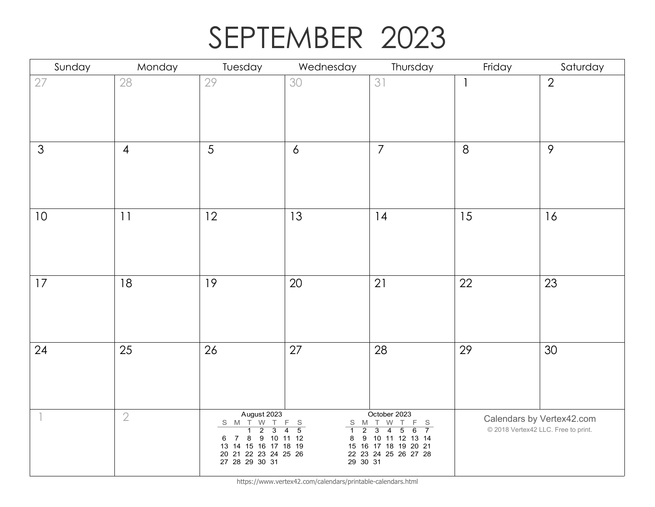# SEPTEMBER 2023

| Sunday         | Monday         | Tuesday                                                                        | Wednesday                                                                            | Thursday                                                                                                  | Friday | Saturday                                                         |
|----------------|----------------|--------------------------------------------------------------------------------|--------------------------------------------------------------------------------------|-----------------------------------------------------------------------------------------------------------|--------|------------------------------------------------------------------|
| 27             | 28             | 29                                                                             | 30                                                                                   | 31                                                                                                        |        | $\overline{2}$                                                   |
|                |                |                                                                                |                                                                                      |                                                                                                           |        |                                                                  |
|                |                |                                                                                |                                                                                      |                                                                                                           |        |                                                                  |
| $\mathfrak{S}$ | $\overline{4}$ | 5                                                                              | $\overline{6}$                                                                       | $\overline{7}$                                                                                            | 8      | $\mathcal{P}$                                                    |
|                |                |                                                                                |                                                                                      |                                                                                                           |        |                                                                  |
|                |                |                                                                                |                                                                                      |                                                                                                           |        |                                                                  |
| 10             | 11             | 12                                                                             | 13                                                                                   | 14                                                                                                        | 15     | 16                                                               |
|                |                |                                                                                |                                                                                      |                                                                                                           |        |                                                                  |
|                |                |                                                                                |                                                                                      |                                                                                                           |        |                                                                  |
| 17             | 18             | 19                                                                             | $20\,$                                                                               | 21                                                                                                        | 22     | 23                                                               |
|                |                |                                                                                |                                                                                      |                                                                                                           |        |                                                                  |
|                |                |                                                                                |                                                                                      |                                                                                                           |        |                                                                  |
| 24             | 25             | 26                                                                             | 27                                                                                   | 28                                                                                                        | 29     | 30                                                               |
|                |                |                                                                                |                                                                                      |                                                                                                           |        |                                                                  |
|                |                |                                                                                |                                                                                      |                                                                                                           |        |                                                                  |
|                | $\sqrt{2}$     | August 2023<br>S M T W T<br>$\overline{2}$<br>$\overline{3}$<br>$\overline{1}$ | F S<br>S M T<br>$\overline{5}$<br>$\overline{2}$<br>$\overline{4}$<br>$\overline{1}$ | October 2023<br>W<br>F.<br>S<br>$\overline{7}$<br>$\overline{3}$<br>$\overline{4}$<br>$\overline{5}$<br>6 |        | Calendars by Vertex42.com<br>© 2018 Vertex42 LLC. Free to print. |
|                |                | 6 7 8 9 10 11 12<br>13 14 15 16 17 18 19                                       | 8                                                                                    | 9 10 11 12 13 14<br>15 16 17 18 19 20 21                                                                  |        |                                                                  |
|                |                | 20 21 22 23 24 25 26<br>27 28 29 30 31                                         |                                                                                      | 22  23  24  25  26  27  28<br>29  30  31                                                                  |        |                                                                  |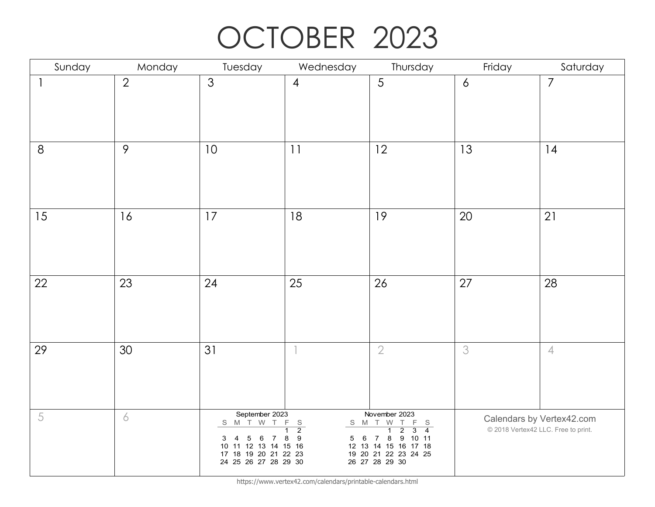# OCTOBER 2023

| Sunday                   | Monday          | Tuesday                                                                                                                                                                       | Wednesday                                                                         | Thursday                                                                                                                                                                                                   | Friday         | Saturday                                                         |
|--------------------------|-----------------|-------------------------------------------------------------------------------------------------------------------------------------------------------------------------------|-----------------------------------------------------------------------------------|------------------------------------------------------------------------------------------------------------------------------------------------------------------------------------------------------------|----------------|------------------------------------------------------------------|
| $\overline{\phantom{a}}$ | $\overline{2}$  | 3                                                                                                                                                                             | $\overline{4}$                                                                    | $\sqrt{5}$                                                                                                                                                                                                 | $\overline{6}$ | $\overline{7}$                                                   |
| $8\,$                    | $\mathcal{P}$   | 10                                                                                                                                                                            | 11                                                                                | 12                                                                                                                                                                                                         | 13             | 14                                                               |
| 15                       | 16              | 17                                                                                                                                                                            | 18                                                                                | 19                                                                                                                                                                                                         | 20             | 21                                                               |
| 22                       | 23              | 24                                                                                                                                                                            | 25                                                                                | 26                                                                                                                                                                                                         | 27             | 28                                                               |
| 29                       | 30 <sup>°</sup> | 31                                                                                                                                                                            | $\overline{\phantom{a}}$                                                          | $\sqrt{2}$                                                                                                                                                                                                 | 3              | $\sqrt{ }$                                                       |
| $\sqrt{5}$               | 6               | September 2023<br>S M T W T<br>$\overline{\mathbf{4}}$<br>$\overline{5}$<br>6<br>3<br>$7\overline{ }$<br>10 11 12 13 14 15 16<br>17 18 19 20 21 22 23<br>24 25 26 27 28 29 30 | $\mathsf F$<br>$\frac{S}{2}$<br>$\overline{1}$<br>$\boldsymbol{9}$<br>8<br>6<br>5 | November 2023<br>S M T W<br>$\top$<br>$F_S$<br>$\overline{4}$<br>$\overline{1}$<br>$\overline{2}$<br>3<br>8<br>9 10 11<br>$\overline{7}$<br>12 13 14 15 16 17 18<br>19 20 21 22 23 24 25<br>26 27 28 29 30 |                | Calendars by Vertex42.com<br>© 2018 Vertex42 LLC. Free to print. |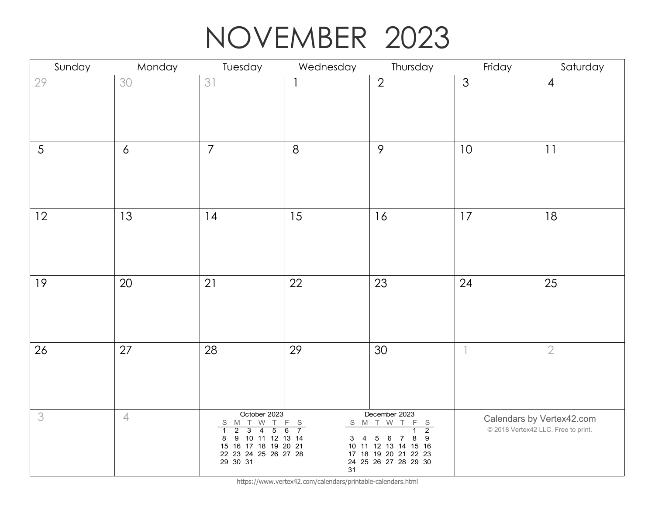### NOVEMBER 2023

| Sunday | Monday           | Tuesday                                                                                                                                                                                                      | Wednesday                                                    | Thursday                                                                                                                                          | Friday         | Saturday                                                         |
|--------|------------------|--------------------------------------------------------------------------------------------------------------------------------------------------------------------------------------------------------------|--------------------------------------------------------------|---------------------------------------------------------------------------------------------------------------------------------------------------|----------------|------------------------------------------------------------------|
| 29     | 30               | 31                                                                                                                                                                                                           |                                                              | $\overline{2}$                                                                                                                                    | $\mathfrak{Z}$ | $\overline{4}$                                                   |
| 5      | $\boldsymbol{6}$ | $\overline{7}$                                                                                                                                                                                               | $8\,$                                                        | $\mathcal{P}$                                                                                                                                     | 10             | 11                                                               |
| 12     | 13               | 14                                                                                                                                                                                                           | 15                                                           | 16                                                                                                                                                | 17             | 18                                                               |
| 19     | 20               | 21                                                                                                                                                                                                           | 22                                                           | 23                                                                                                                                                | 24             | 25                                                               |
| 26     | 27               | 28                                                                                                                                                                                                           | 29                                                           | 30                                                                                                                                                |                | $\mathbf 2$                                                      |
| 3      | $\overline{4}$   | October 2023<br>S M T W<br>T.<br>$\overline{2}$<br>$\overline{4}$<br>$\overline{5}$<br>$\overline{1}$<br>$\overline{3}$<br>9 10 11 12 13 14<br>8<br>15 16 17 18 19 20 21<br>22 23 24 25 26 27 28<br>29 30 31 | F<br>$\mathbb S$<br>$\overline{7}$<br>6<br>$3 \quad 4$<br>31 | December 2023<br>S M T W T<br>F<br>$\frac{S}{2}$<br>9<br>5<br>8<br>6<br>7<br>10 11 12 13 14 15 16<br>17 18 19 20 21 22 23<br>24 25 26 27 28 29 30 |                | Calendars by Vertex42.com<br>© 2018 Vertex42 LLC. Free to print. |